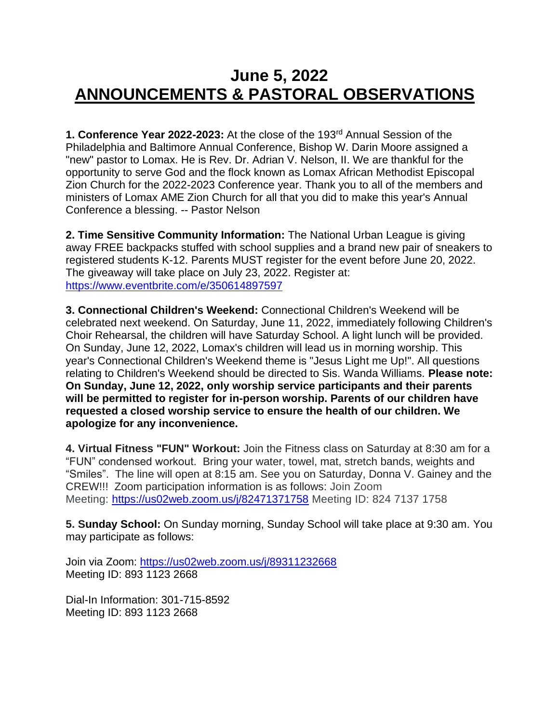## **June 5, 2022 ANNOUNCEMENTS & PASTORAL OBSERVATIONS**

**1. Conference Year 2022-2023:** At the close of the 193rd Annual Session of the Philadelphia and Baltimore Annual Conference, Bishop W. Darin Moore assigned a "new" pastor to Lomax. He is Rev. Dr. Adrian V. Nelson, II. We are thankful for the opportunity to serve God and the flock known as Lomax African Methodist Episcopal Zion Church for the 2022-2023 Conference year. Thank you to all of the members and ministers of Lomax AME Zion Church for all that you did to make this year's Annual Conference a blessing. -- Pastor Nelson

**2. Time Sensitive Community Information:** The National Urban League is giving away FREE backpacks stuffed with school supplies and a brand new pair of sneakers to registered students K-12. Parents MUST register for the event before June 20, 2022. The giveaway will take place on July 23, 2022. Register at: <https://www.eventbrite.com/e/350614897597>

**3. Connectional Children's Weekend:** Connectional Children's Weekend will be celebrated next weekend. On Saturday, June 11, 2022, immediately following Children's Choir Rehearsal, the children will have Saturday School. A light lunch will be provided. On Sunday, June 12, 2022, Lomax's children will lead us in morning worship. This year's Connectional Children's Weekend theme is "Jesus Light me Up!". All questions relating to Children's Weekend should be directed to Sis. Wanda Williams. **Please note: On Sunday, June 12, 2022, only worship service participants and their parents will be permitted to register for in-person worship. Parents of our children have requested a closed worship service to ensure the health of our children. We apologize for any inconvenience.**

**4. Virtual Fitness "FUN" Workout:** Join the Fitness class on Saturday at 8:30 am for a "FUN" condensed workout. Bring your water, towel, mat, stretch bands, weights and "Smiles". The line will open at 8:15 am. See you on Saturday, Donna V. Gainey and the CREW!!! Zoom participation information is as follows: Join Zoom Meeting: [https://us02web.zoom.us/j/82471371758](https://nam12.safelinks.protection.outlook.com/?url=https%3A%2F%2Fwww.google.com%2Furl%3Fq%3Dhttps%3A%2F%2Fus02web.zoom.us%2Fj%2F82471371758%26sa%3DD%26source%3Dcalendar%26usd%3D2%26usg%3DAOvVaw3Rr5ppJbraDqvychIyG1kh&data=05%7C01%7C%7C303b005cd3b44379e67508da3aa43477%7C84df9e7fe9f640afb435aaaaaaaaaaaa%7C1%7C0%7C637886775187028721%7CUnknown%7CTWFpbGZsb3d8eyJWIjoiMC4wLjAwMDAiLCJQIjoiV2luMzIiLCJBTiI6Ik1haWwiLCJXVCI6Mn0%3D%7C3000%7C%7C%7C&sdata=2y%2FybyX9kTqORhcCAKAxOl0UpU0TkU%2B%2F4QoRGJwvWUM%3D&reserved=0) Meeting ID: 824 7137 1758

**5. Sunday School:** On Sunday morning, Sunday School will take place at 9:30 am. You may participate as follows:

Join via Zoom: [https://us02web.zoom.us/j/89311232668](https://nam12.safelinks.protection.outlook.com/?url=https%3A%2F%2Fus02web.zoom.us%2Fj%2F89311232668&data=05%7C01%7C%7Cb40d9c59f95b4d0feb4708da40247219%7C84df9e7fe9f640afb435aaaaaaaaaaaa%7C1%7C0%7C637892823139547818%7CUnknown%7CTWFpbGZsb3d8eyJWIjoiMC4wLjAwMDAiLCJQIjoiV2luMzIiLCJBTiI6Ik1haWwiLCJXVCI6Mn0%3D%7C3000%7C%7C%7C&sdata=vGQXdRxjY01lDdnRbaRi4%2FwTz92YeBXLhySkfhHZcEo%3D&reserved=0) Meeting ID: 893 1123 2668

Dial-In Information: 301-715-8592 Meeting ID: 893 1123 2668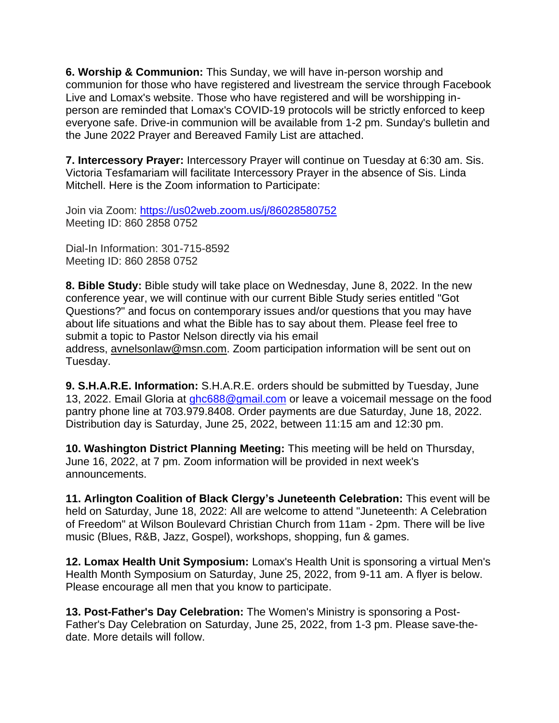**6. Worship & Communion:** This Sunday, we will have in-person worship and communion for those who have registered and livestream the service through Facebook Live and Lomax's website. Those who have registered and will be worshipping inperson are reminded that Lomax's COVID-19 protocols will be strictly enforced to keep everyone safe. Drive-in communion will be available from 1-2 pm. Sunday's bulletin and the June 2022 Prayer and Bereaved Family List are attached.

**7. Intercessory Prayer:** Intercessory Prayer will continue on Tuesday at 6:30 am. Sis. Victoria Tesfamariam will facilitate Intercessory Prayer in the absence of Sis. Linda Mitchell. Here is the Zoom information to Participate:

Join via Zoom: [https://us02web.zoom.us/j/86028580752](https://nam12.safelinks.protection.outlook.com/?url=https%3A%2F%2Fus02web.zoom.us%2Fj%2F86028580752&data=05%7C01%7C%7Cb40d9c59f95b4d0feb4708da40247219%7C84df9e7fe9f640afb435aaaaaaaaaaaa%7C1%7C0%7C637892823139547818%7CUnknown%7CTWFpbGZsb3d8eyJWIjoiMC4wLjAwMDAiLCJQIjoiV2luMzIiLCJBTiI6Ik1haWwiLCJXVCI6Mn0%3D%7C3000%7C%7C%7C&sdata=cIlfULeLLhI5Ex0Uy5Jzt4qwXRBWnOXaOmn7sM966NU%3D&reserved=0) Meeting ID: 860 2858 0752

Dial-In Information: 301-715-8592 Meeting ID: 860 2858 0752

**8. Bible Study:** Bible study will take place on Wednesday, June 8, 2022. In the new conference year, we will continue with our current Bible Study series entitled "Got Questions?" and focus on contemporary issues and/or questions that you may have about life situations and what the Bible has to say about them. Please feel free to submit a topic to Pastor Nelson directly via his email

address, [avnelsonlaw@msn.com.](mailto:avnelsonlaw@msn.com) Zoom participation information will be sent out on Tuesday.

**9. S.H.A.R.E. Information:** S.H.A.R.E. orders should be submitted by Tuesday, June 13, 2022. Email Gloria at [ghc688@gmail.com](mailto:ghc688@gmail.com) or leave a voicemail message on the food pantry phone line at 703.979.8408. Order payments are due Saturday, June 18, 2022. Distribution day is Saturday, June 25, 2022, between 11:15 am and 12:30 pm.

**10. Washington District Planning Meeting:** This meeting will be held on Thursday, June 16, 2022, at 7 pm. Zoom information will be provided in next week's announcements.

**11. Arlington Coalition of Black Clergy's Juneteenth Celebration:** This event will be held on Saturday, June 18, 2022: All are welcome to attend "Juneteenth: A Celebration of Freedom" at Wilson Boulevard Christian Church from 11am - 2pm. There will be live music (Blues, R&B, Jazz, Gospel), workshops, shopping, fun & games.

**12. Lomax Health Unit Symposium:** Lomax's Health Unit is sponsoring a virtual Men's Health Month Symposium on Saturday, June 25, 2022, from 9-11 am. A flyer is below. Please encourage all men that you know to participate.

**13. Post-Father's Day Celebration:** The Women's Ministry is sponsoring a Post-Father's Day Celebration on Saturday, June 25, 2022, from 1-3 pm. Please save-thedate. More details will follow.